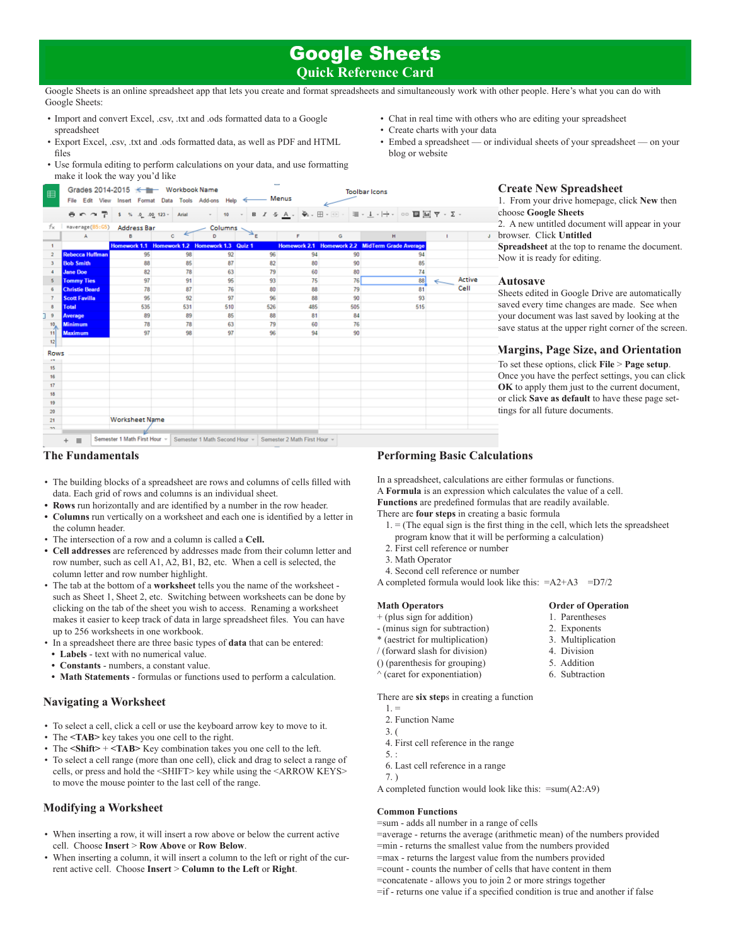# Google Sheets

# **Quick Reference Card**

**Toolbar Icons** 

Google Sheets is an online spreadsheet app that lets you create and format spreadsheets and simultaneously work with other people. Here's what you can do with Google Sheets:

• Import and convert Excel, .csv, .txt and .ods formatted data to a Google spreadsheet

Grades 2014-2015 <= Workbook Name

- • Export Excel, .csv, .txt and .ods formatted data, as well as PDF and HTML files
- • Use formula editing to perform calculations on your data, and use formatting make it look the way you'd like
- • Chat in real time with others who are editing your spreadsheet
- • Create charts with your data
- Embed a spreadsheet or individual sheets of your spreadsheet on your blog or website

| fх             | =average(B5:G5)        | Address Bar                                   |              | Columns - |              |     |     |                                                 |      |
|----------------|------------------------|-----------------------------------------------|--------------|-----------|--------------|-----|-----|-------------------------------------------------|------|
|                | A                      | B                                             | $\mathbf{c}$ | D         | $\mathbb{R}$ | F   | G   | H                                               |      |
| 1              |                        | Homework 1.1 Homework 1.2 Homework 1.3 Quiz 1 |              |           |              |     |     | Homework 2.1 Homework 2.2 MidTerm Grade Average |      |
| $\overline{a}$ | <b>Rebecca Huffman</b> | 95                                            | 98           | 92        | 96           | 94  | 90  | 94                                              |      |
| $\mathbf{3}$   | <b>Bob Smith</b>       | 88                                            | 85           | 87        | 82           | 80  | 90  | 85                                              |      |
| $\overline{a}$ | <b>Jane Doe</b>        | 82                                            | 78           | 63        | 79           | 60  | 80  | 74                                              |      |
| $\mathbf{s}$   | <b>Tommy Ties</b>      | 97                                            | 91           | 95        | 93           | 75  | 76  | 88                                              | Acti |
| 6              | <b>Christie Beard</b>  | 78                                            | 87           | 76        | 80           | 88  | 79  | 81                                              | Cell |
| 7              | <b>Scott Favilla</b>   | 95                                            | 92           | 97        | 96           | 88  | 90  | 93                                              |      |
| 8              | <b>Total</b>           | 535                                           | 531          | 510       | 526          | 485 | 505 | 515                                             |      |
| 19             | Average                | 89                                            | 89           | 85        | 88           | 81  | 84  |                                                 |      |
| 10             | <b>Minimum</b>         | 78                                            | 78           | 63        | 79           | 60  | 76  |                                                 |      |
| 11             | <b>Maximum</b>         | 97                                            | 98           | 97        | 96           | 94  | 90  |                                                 |      |
| 12             |                        |                                               |              |           |              |     |     |                                                 |      |
| <b>Rows</b>    |                        |                                               |              |           |              |     |     |                                                 |      |
| 17             |                        |                                               |              |           |              |     |     |                                                 |      |
| 15             |                        |                                               |              |           |              |     |     |                                                 |      |
| 16             |                        |                                               |              |           |              |     |     |                                                 |      |
| 17             |                        |                                               |              |           |              |     |     |                                                 |      |
| 18             |                        |                                               |              |           |              |     |     |                                                 |      |
| 19             |                        |                                               |              |           |              |     |     |                                                 |      |
| 20             |                        |                                               |              |           |              |     |     |                                                 |      |
| 21             |                        | <b>Worksheet Name</b>                         |              |           |              |     |     |                                                 |      |

### **The Fundamentals**

- • The building blocks of a spreadsheet are rows and columns of cells filled with data. Each grid of rows and columns is an individual sheet.
- **• Rows** run horizontally and are identified by a number in the row header.
- **Columns** run vertically on a worksheet and each one is identified by a letter in the column header.
- • The intersection of a row and a column is called a **Cell.**
- **• Cell addresses** are referenced by addresses made from their column letter and row number, such as cell A1, A2, B1, B2, etc. When a cell is selected, the column letter and row number highlight.
- • The tab at the bottom of a **worksheet** tells you the name of the worksheet such as Sheet 1, Sheet 2, etc. Switching between worksheets can be done by clicking on the tab of the sheet you wish to access. Renaming a worksheet makes it easier to keep track of data in large spreadsheet files. You can have up to 256 worksheets in one workbook.
- • In a spreadsheet there are three basic types of **data** that can be entered:
- **• Labels** text with no numerical value.
- **• Constants** numbers, a constant value.
- **• Math Statements** formulas or functions used to perform a calculation.

# **Navigating a Worksheet**

- • To select a cell, click a cell or use the keyboard arrow key to move to it.
- The **<TAB** key takes you one cell to the right.
- The <Shift> + <TAB> Key combination takes you one cell to the left.
- • To select a cell range (more than one cell), click and drag to select a range of cells, or press and hold the <SHIFT> key while using the <ARROW KEYS> to move the mouse pointer to the last cell of the range.

# **Modifying a Worksheet**

- • When inserting a row, it will insert a row above or below the current active cell. Choose **Insert** > **Row Above** or **Row Below**.
- When inserting a column, it will insert a column to the left or right of the current active cell. Choose **Insert** > **Column to the Left** or **Right**.

**Create New Spreadsheet**

1. From your drive homepage, click **New** then choose **Google Sheets**

2. A new untitled document will appear in your browser. Click **Untitled** 

**Spreadsheet** at the top to rename the document. Now it is ready for editing.

#### **Autosave**

Sheets edited in Google Drive are automatically saved every time changes are made. See when your document was last saved by looking at the save status at the upper right corner of the screen.

# **Margins, Page Size, and Orientation**

To set these options, click **File** > **Page setup**. Once you have the perfect settings, you can click **OK** to apply them just to the current document, or click **Save as default** to have these page settings for all future documents.

# **Performing Basic Calculations**

In a spreadsheet, calculations are either formulas or functions. A **Formula** is an expression which calculates the value of a cell. **Functions** are predefined formulas that are readily available.

There are **four steps** in creating a basic formula

- $1. =$  (The equal sign is the first thing in the cell, which lets the spreadsheet program know that it will be performing a calculation)
- 2. First cell reference or number
- 3. Math Operator
- 4. Second cell reference or number
- A completed formula would look like this:  $=A2+A3 = D7/2$

#### **Math Operators Order of Operation**

- + (plus sign for addition) 1. Parentheses
- (minus sign for subtraction) 2. Exponents
- \* (aestrict for multiplication) 3. Multiplication
- 
- $\frac{1}{2}$  (forward slash for division) 4. Division  $\frac{1}{2}$  1. Division  $\frac{1}{2}$  4. Division () (parenthesis for grouping)
- $\wedge$  (caret for exponentiation) 6. Subtraction
- There are **six step**s in creating a function
	- $1.$  = 2. Function Name
	- 3. (
- 4. First cell reference in the range
- 5. :
- 6. Last cell reference in a range
- 7. )

A completed function would look like this: =sum(A2:A9)

# **Common Functions**

=sum - adds all number in a range of cells =average - returns the average (arithmetic mean) of the numbers provided =min - returns the smallest value from the numbers provided =max - returns the largest value from the numbers provided =count - counts the number of cells that have content in them =concatenate - allows you to join 2 or more strings together =if - returns one value if a specified condition is true and another if false